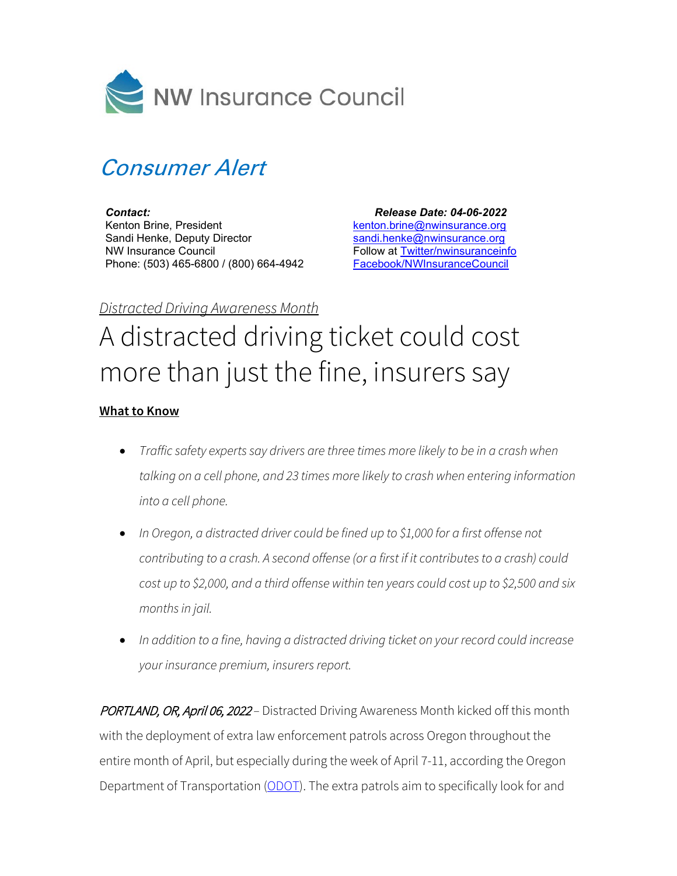

## Consumer Alert

*Contact:* Kenton Brine, President Sandi Henke, Deputy Director NW Insurance Council Phone: (503) 465-6800 / (800) 664-4942

 *Release Date: 04-06-2022*  [kenton.brine@nwinsurance.org](mailto:kenton.brine@nwinsurance.org) [sandi.henke@nwinsurance.org](mailto:sandi.henke@nwinsurance.org) Follow at [Twitter/nwinsuranceinfo](http://twitter.com/#!/nwinsuranceinfo) [Facebook/NWInsuranceCouncil](https://www.facebook.com/NWInsuranceCouncil)

## *Distracted Driving Awareness Month*

## A distracted driving ticket could cost more than just the fine, insurers say

## **What to Know**

- *Traffic safety experts say drivers are three times more likely to be in a crash when talking on a cell phone, and 23 times more likely to crash when entering information into a cell phone.*
- *In Oregon, a distracted driver could be fined up to \$1,000 for a first offense not contributing to a crash. A second offense (or a first if it contributes to a crash) could cost up to \$2,000, and a third offense within ten years could cost up to \$2,500 and six months in jail.*
- *In addition to a fine, having a distracted driving ticket on your record could increase your insurance premium, insurers report.*

PORTLAND, OR, April 06, 2022 *–* Distracted Driving Awareness Month kicked off this month with the deployment of extra law enforcement patrols across Oregon throughout the entire month of April, but especially during the week of April 7-11, according the Oregon Department of Transportation [\(ODOT\)](https://www.oregon.gov/odot/safety/pages/distracted.aspx). The extra patrols aim to specifically look for and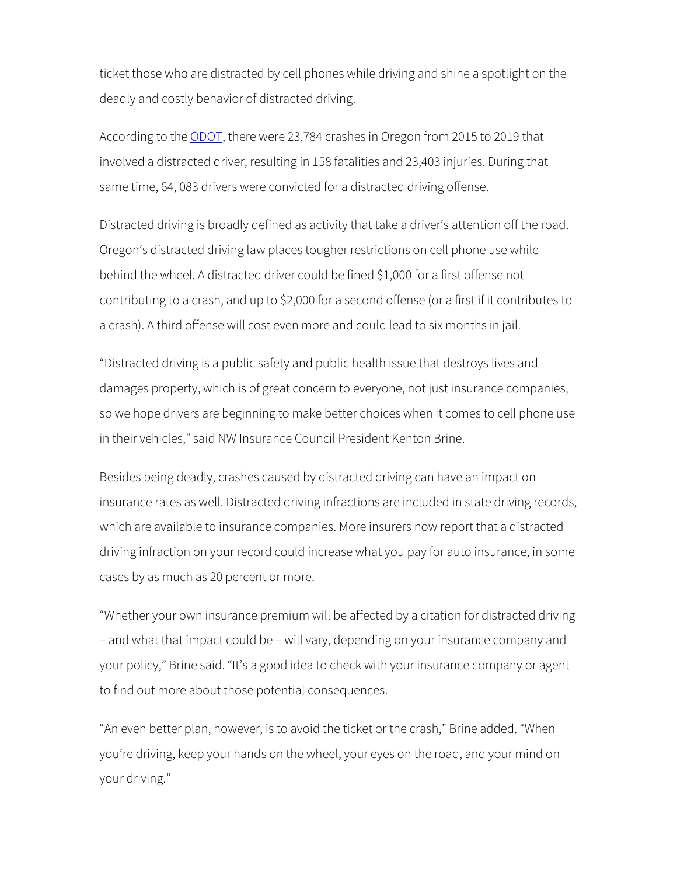ticket those who are distracted by cell phones while driving and shine a spotlight on the deadly and costly behavior of distracted driving.

According to the [ODOT,](https://www.oregon.gov/odot/Safety/Documents/Distracted_Driving_Fact_Sheet.pdf) there were 23,784 crashes in Oregon from 2015 to 2019 that involved a distracted driver, resulting in 158 fatalities and 23,403 injuries. During that same time, 64, 083 drivers were convicted for a distracted driving offense.

Distracted driving is broadly defined as activity that take a driver's attention off the road. Oregon's distracted driving law places tougher restrictions on cell phone use while behind the wheel. A distracted driver could be fined \$1,000 for a first offense not contributing to a crash, and up to \$2,000 for a second offense (or a first if it contributes to a crash). A third offense will cost even more and could lead to six months in jail.

"Distracted driving is a public safety and public health issue that destroys lives and damages property, which is of great concern to everyone, not just insurance companies, so we hope drivers are beginning to make better choices when it comes to cell phone use in their vehicles," said NW Insurance Council President Kenton Brine.

Besides being deadly, crashes caused by distracted driving can have an impact on insurance rates as well. Distracted driving infractions are included in state driving records, which are available to insurance companies. More insurers now report that a distracted driving infraction on your record could increase what you pay for auto insurance, in some cases by as much as 20 percent or more.

"Whether your own insurance premium will be affected by a citation for distracted driving – and what that impact could be – will vary, depending on your insurance company and your policy," Brine said. "It's a good idea to check with your insurance company or agent to find out more about those potential consequences.

"An even better plan, however, is to avoid the ticket or the crash," Brine added. "When you're driving, keep your hands on the wheel, your eyes on the road, and your mind on your driving."